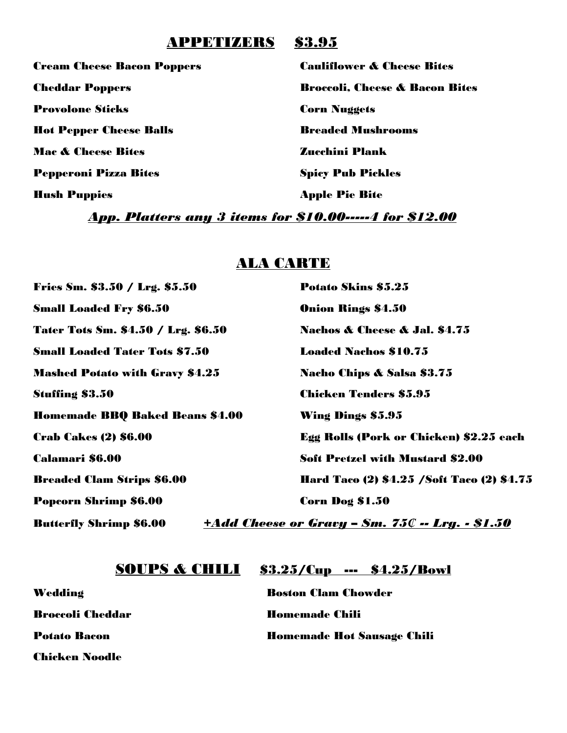### APPETIZERS \$3.95

Provolone Sticks Corn Nuggets Hot Pepper Cheese Balls Breaded Mushrooms Mac & Cheese Bites Zucchini Plank Pepperoni Pizza Bites Spicy Pub Pickles Hush Puppies Apple Pie Bite

Cream Cheese Bacon Poppers Cauliflower & Cheese Bites Cheddar Poppers Broccoli, Cheese & Bacon Bites

*App. Platters any 3 items for \$10.00-----4 for \$12.00*

## ALA CARTE

| Fries Sm. \$3.50 / Lrg. \$5.50         | <b>Potato Skins \$5.25</b>                              |
|----------------------------------------|---------------------------------------------------------|
| <b>Small Loaded Fry \$6.50</b>         | <b>Onion Rings \$4.50</b>                               |
| Tater Tots Sm. \$4.50 / Lrg. \$6.50    | <b>Nachos &amp; Cheese &amp; Jal. \$4.75</b>            |
| <b>Small Loaded Tater Tots \$7.50</b>  | <b>Loaded Nachos \$10.75</b>                            |
| <b>Mashed Potato with Gravy \$4.25</b> | Nacho Chips & Salsa \$3.75                              |
| <b>Stuffing \$3.50</b>                 | <b>Chicken Tenders \$5.95</b>                           |
| <b>Homemade BBQ Baked Beans \$4.00</b> | <b>Wing Dings \$5.95</b>                                |
| <b>Crab Cakes (2) \$6.00</b>           | <b>Egg Rolls (Pork or Chicken) \$2.25 each</b>          |
| Calamari \$6.00                        | <b>Soft Pretzel with Mustard \$2.00</b>                 |
| <b>Breaded Clam Strips \$6.00</b>      | Hard Taco (2) \$4.25 / Soft Taco (2) \$4.75             |
| Popcorn Shrimp \$6.00                  | Corn Dog \$1.50                                         |
| <b>Butterfly Shrimp \$6.00</b>         | <u> +Add Cheese or Gravy - Sm. 75C -- Lrg. - \$1.50</u> |

### **SOUPS & CHILI** \$3.25/Cup --- \$4.25/Bowl

Chicken Noodle

Wedding Boston Clam Chowder **Broccoli Cheddar Homemade Chili** Potato Bacon Homemade Hot Sausage Chili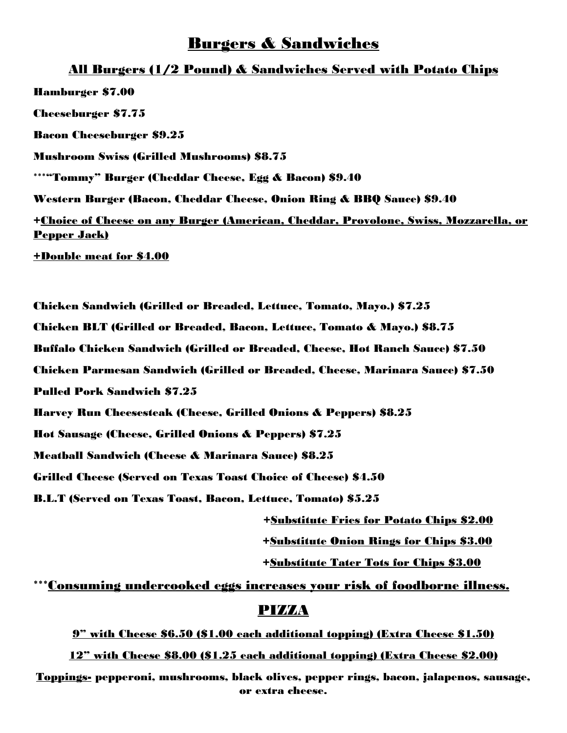### Burgers & Sandwiches

#### All Burgers (1/2 Pound) & Sandwiches Served with Potato Chips

Hamburger \$7.00 Cheeseburger \$7.75 Bacon Cheeseburger \$9.25 Mushroom Swiss (Grilled Mushrooms) \$8.75 \*\*\*"Tommy" Burger (Cheddar Cheese, Egg & Bacon) \$9.40 Western Burger (Bacon, Cheddar Cheese, Onion Ring & BBQ Sauce) \$9.40 +Choice of Cheese on any Burger (American, Cheddar, Provolone, Swiss, Mozzarella, or Pepper Jack) +Double meat for \$4.00

Chicken Sandwich (Grilled or Breaded, Lettuce, Tomato, Mayo.) \$7.25 Chicken BLT (Grilled or Breaded, Bacon, Lettuce, Tomato & Mayo.) \$8.75 Buffalo Chicken Sandwich (Grilled or Breaded, Cheese, Hot Ranch Sauce) \$7.50 Chicken Parmesan Sandwich (Grilled or Breaded, Cheese, Marinara Sauce) \$7.50 Pulled Pork Sandwich \$7.25 Harvey Run Cheesesteak (Cheese, Grilled Onions & Peppers) \$8.25 Hot Sausage (Cheese, Grilled Onions & Peppers) \$7.25 Meatball Sandwich (Cheese & Marinara Sauce) \$8.25 Grilled Cheese (Served on Texas Toast Choice of Cheese) \$4.50 B.L.T (Served on Texas Toast, Bacon, Lettuce, Tomato) \$5.25 +Substitute Fries for Potato Chips \$2.00

+Substitute Onion Rings for Chips \$3.00

+Substitute Tater Tots for Chips \$3.00

\*\*\*Consuming undercooked eggs increases your risk of foodborne illness.

#### **PIZZA**

9" with Cheese \$6.50 (\$1.00 each additional topping) (Extra Cheese \$1.50)

12" with Cheese \$8.00 (\$1.25 each additional topping) (Extra Cheese \$2.00)

Toppings- pepperoni, mushrooms, black olives, pepper rings, bacon, jalapenos, sausage, or extra cheese.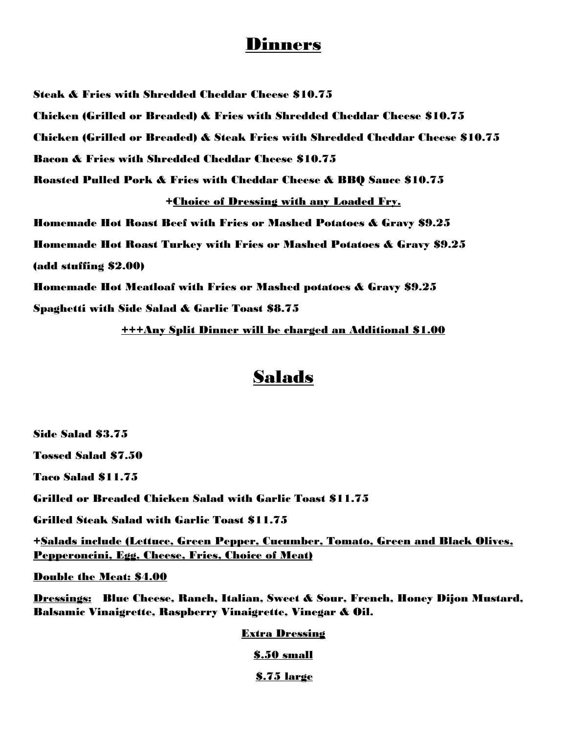## Dinners

Steak & Fries with Shredded Cheddar Cheese \$10.75 Chicken (Grilled or Breaded) & Fries with Shredded Cheddar Cheese \$10.75 Chicken (Grilled or Breaded) & Steak Fries with Shredded Cheddar Cheese \$10.75 Bacon & Fries with Shredded Cheddar Cheese \$10.75 Roasted Pulled Pork & Fries with Cheddar Cheese & BBQ Sauce \$10.75 +Choice of Dressing with any Loaded Fry. Homemade Hot Roast Beef with Fries or Mashed Potatoes & Gravy \$9.25 Homemade Hot Roast Turkey with Fries or Mashed Potatoes & Gravy \$9.25 (add stuffing \$2.00) Homemade Hot Meatloaf with Fries or Mashed potatoes & Gravy \$9.25 Spaghetti with Side Salad & Garlic Toast \$8.75

+++Any Split Dinner will be charged an Additional \$1.00

## Salads

Side Salad \$3.75

Tossed Salad \$7.50

Taco Salad \$11.75

Grilled or Breaded Chicken Salad with Garlic Toast \$11.75

Grilled Steak Salad with Garlic Toast \$11.75

+Salads include (Lettuce, Green Pepper, Cucumber, Tomato, Green and Black Olives, Pepperoncini, Egg, Cheese, Fries, Choice of Meat)

Double the Meat: \$4.00

Dressings: Blue Cheese, Ranch, Italian, Sweet & Sour, French, Honey Dijon Mustard, Balsamic Vinaigrette, Raspberry Vinaigrette, Vinegar & Oil.

#### Extra Dressing

\$.50 small

\$.75 large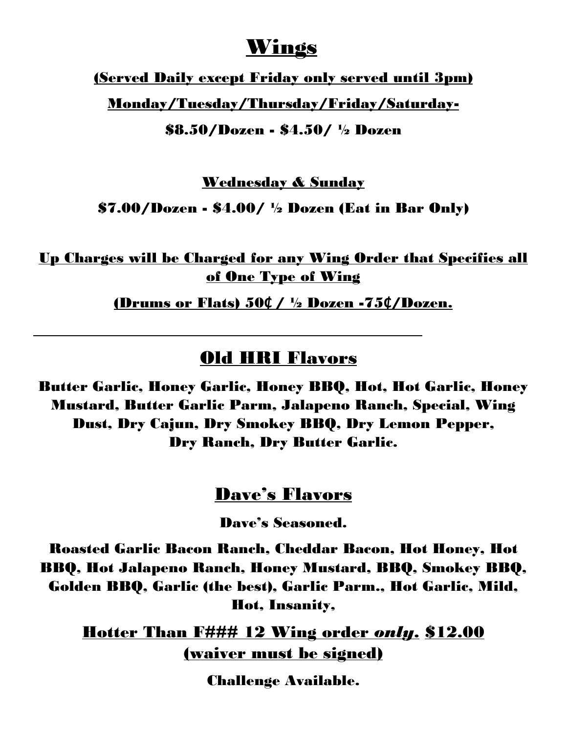# Wings

(Served Daily except Friday only served until 3pm)

Monday/Tuesday/Thursday/Friday/Saturday-

\$8.50/Dozen - \$4.50/ ½ Dozen

Wednesday & Sunday

 $$7.00/Doxen - $4.00/$  <sup>1</sup>/<sub>2</sub> Dozen (Eat in Bar Only)

Up Charges will be Charged for any Wing Order that Specifies all of One Type of Wing

(Drums or Flats) 50**₵** / ½ Dozen -75**₵**/Dozen.

## Old HRI Flavors

Butter Garlic, Honey Garlic, Honey BBQ, Hot, Hot Garlic, Honey Mustard, Butter Garlic Parm, Jalapeno Ranch, Special, Wing Dust, Dry Cajun, Dry Smokey BBQ, Dry Lemon Pepper, Dry Ranch, Dry Butter Garlic.

## Dave's Flavors

Dave's Seasoned.

Roasted Garlic Bacon Ranch, Cheddar Bacon, Hot Honey, Hot BBQ, Hot Jalapeno Ranch, Honey Mustard, BBQ, Smokey BBQ, Golden BBQ, Garlic (the best), Garlic Parm., Hot Garlic, Mild, Hot, Insanity,

Hotter Than F### 12 Wing order *only*. \$12.00 (waiver must be signed)

Challenge Available.